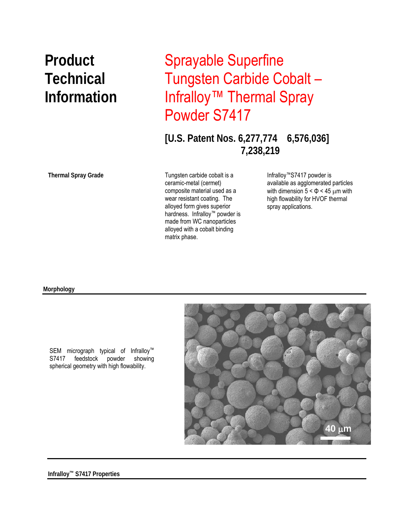## **Product** Sprayable Superfine **Technical** Tungsten Carbide Cobalt – **Information** Infralloy™ Thermal Spray Powder S7417

**[U.S. Patent Nos. 6,277,774 6,576,036] 7,238,219** 

**Thermal Spray Grade** 

 matrix phase. Tungsten carbide cobalt is a ceramic-metal (cermet) composite material used as a wear resistant coating. The alloyed form gives superior hardness. Infralloy™ powder is made from WC nanoparticles alloyed with a cobalt binding

Infralloy™S7417 powder is available as agglomerated particles with dimension  $5 < \Phi < 45$  µm with high flowability for HVOF thermal spray applications.

## **Morphology**



SEM micrograph typical of Infralloy™ S7417 feedstock powder showing spherical geometry with high flowability.

**Infralloy™ S7417 Properties**